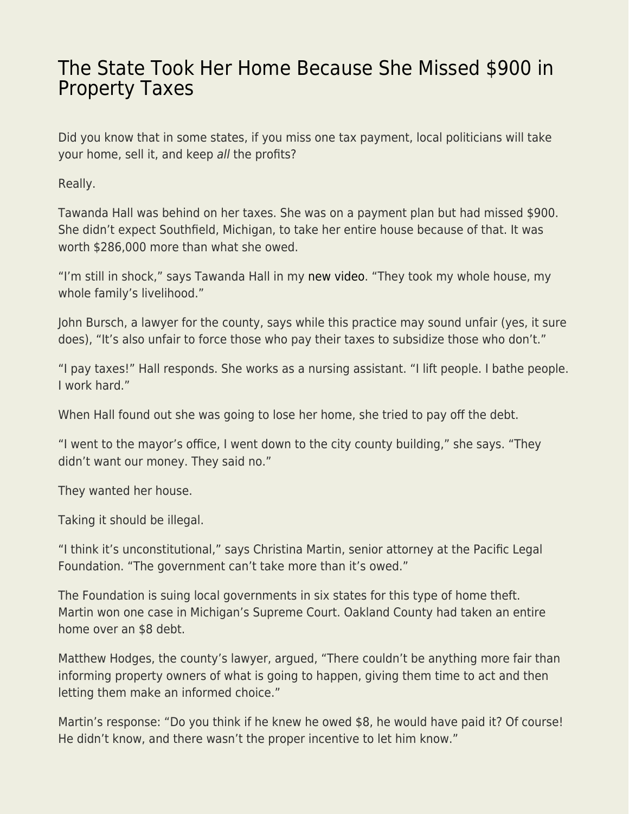## [The State Took Her Home Because She Missed \\$900 in](https://everything-voluntary.com/the-state-took-her-home-because-she-missed-900-in-property-taxes) [Property Taxes](https://everything-voluntary.com/the-state-took-her-home-because-she-missed-900-in-property-taxes)

Did you know that in some states, if you miss one tax payment, local politicians will take your home, sell it, and keep all the profits?

Really.

Tawanda Hall was behind on her taxes. She was on a payment plan but had missed \$900. She didn't expect Southfield, Michigan, to take her entire house because of that. It was worth \$286,000 more than what she owed.

"I'm still in shock," says Tawanda Hall in my [new video](https://www.youtube.com/watch?v=ghCMel8Z_Z8). "They took my whole house, my whole family's livelihood."

John Bursch, a lawyer for the county, says while this practice may sound unfair (yes, it sure does), "It's also unfair to force those who pay their taxes to subsidize those who don't."

"I pay taxes!" Hall responds. She works as a nursing assistant. "I lift people. I bathe people. I work hard."

When Hall found out she was going to lose her home, she tried to pay off the debt.

"I went to the mayor's office, I went down to the city county building," she says. "They didn't want our money. They said no."

They wanted her house.

Taking it should be illegal.

"I think it's unconstitutional," says Christina Martin, senior attorney at the Pacific Legal Foundation. "The government can't take more than it's owed."

The Foundation is suing local governments in six states for this type of home theft. Martin won one case in Michigan's Supreme Court. Oakland County had taken an entire home over an \$8 debt.

Matthew Hodges, the county's lawyer, argued, "There couldn't be anything more fair than informing property owners of what is going to happen, giving them time to act and then letting them make an informed choice."

Martin's response: "Do you think if he knew he owed \$8, he would have paid it? Of course! He didn't know, and there wasn't the proper incentive to let him know."